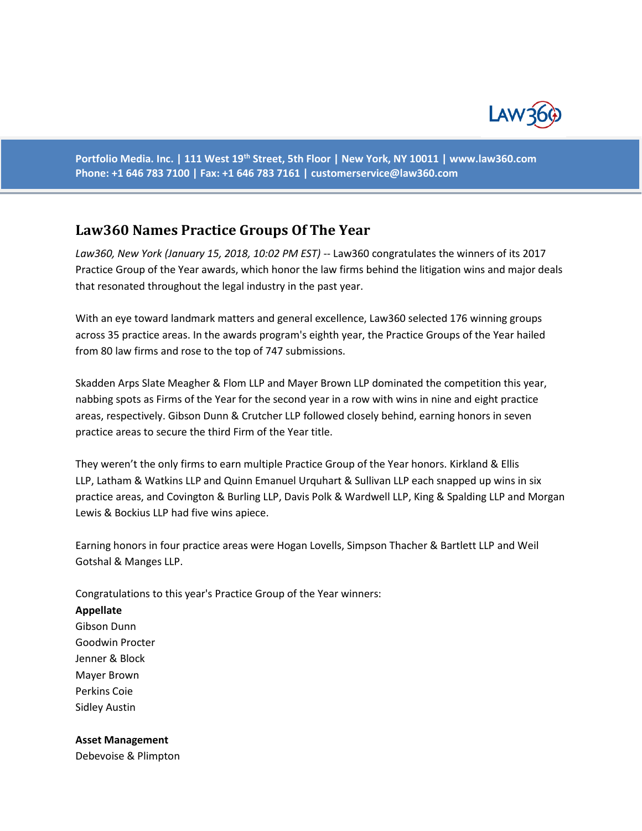

**Portfolio Media. Inc. | 111 West 19th Street, 5th Floor | New York, NY 10011 | www.law360.com Phone: +1 646 783 7100 | Fax: +1 646 783 7161 | [customerservice@law360.com](mailto:customerservice@law360.com)**

# **Law360 Names Practice Groups Of The Year**

*Law360, New York (January 15, 2018, 10:02 PM EST)* -- Law360 congratulates the winners of its 2017 Practice Group of the Year awards, which honor the law firms behind the litigation wins and major deals that resonated throughout the legal industry in the past year.

With an eye toward landmark matters and general excellence, Law360 selected 176 winning groups across 35 practice areas. In the awards program's eighth year, the Practice Groups of the Year hailed from 80 law firms and rose to the top of 747 submissions.

Skadden Arps Slate Meagher & Flom LLP and Mayer Brown LLP dominated the competition this year, nabbing spots as Firms of the Year for the second year in a row with wins in nine and eight practice areas, respectively. Gibson Dunn & Crutcher LLP followed closely behind, earning honors in seven practice areas to secure the third Firm of the Year title.

They weren't the only firms to earn multiple Practice Group of the Year honors. Kirkland & Ellis LLP, Latham & Watkins LLP and Quinn Emanuel Urquhart & Sullivan LLP each snapped up wins in six practice areas, and Covington & Burling LLP, Davis Polk & Wardwell LLP, King & Spalding LLP and Morgan Lewis & Bockius LLP had five wins apiece.

Earning honors in four practice areas were Hogan Lovells, Simpson Thacher & Bartlett LLP and Weil Gotshal & Manges LLP.

Congratulations to this year's Practice Group of the Year winners:

#### **Appellate**

Gibson Dunn Goodwin Procter Jenner & Block Mayer Brown Perkins Coie Sidley Austin

#### **Asset Management**

Debevoise & Plimpton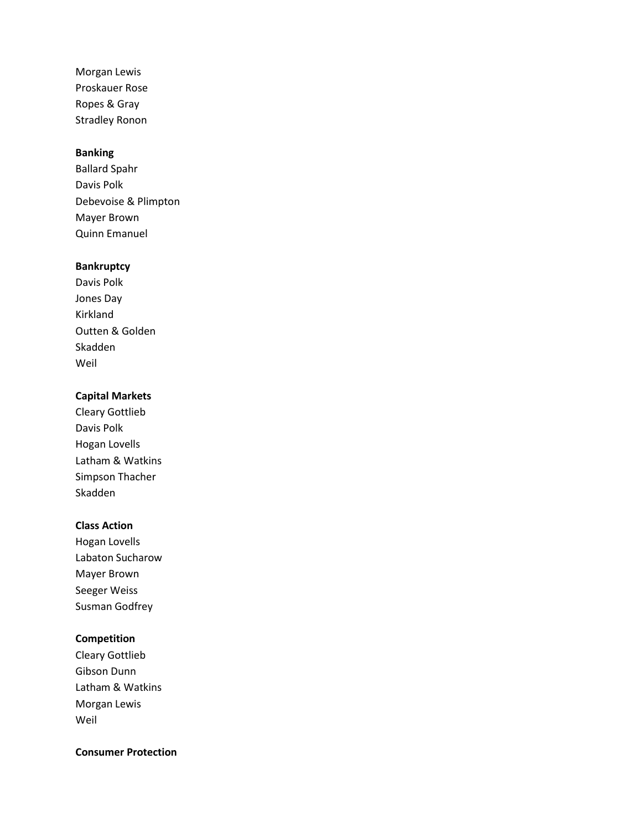Morgan Lewis Proskauer Rose Ropes & Gray Stradley Ronon

#### **Banking**

Ballard Spahr Davis Polk Debevoise & Plimpton Mayer Brown Quinn Emanuel

### **Bankruptcy**

Davis Polk Jones Day Kirkland Outten & Golden Skadden Weil

#### **Capital Markets**

Cleary Gottlieb Davis Polk Hogan Lovells Latham & Watkins Simpson Thacher Skadden

#### **Class Action**

Hogan Lovells Labaton Sucharow Mayer Brown Seeger Weiss Susman Godfrey

# **Competition**

Cleary Gottlieb Gibson Dunn Latham & Watkins Morgan Lewis Weil

#### **Consumer Protection**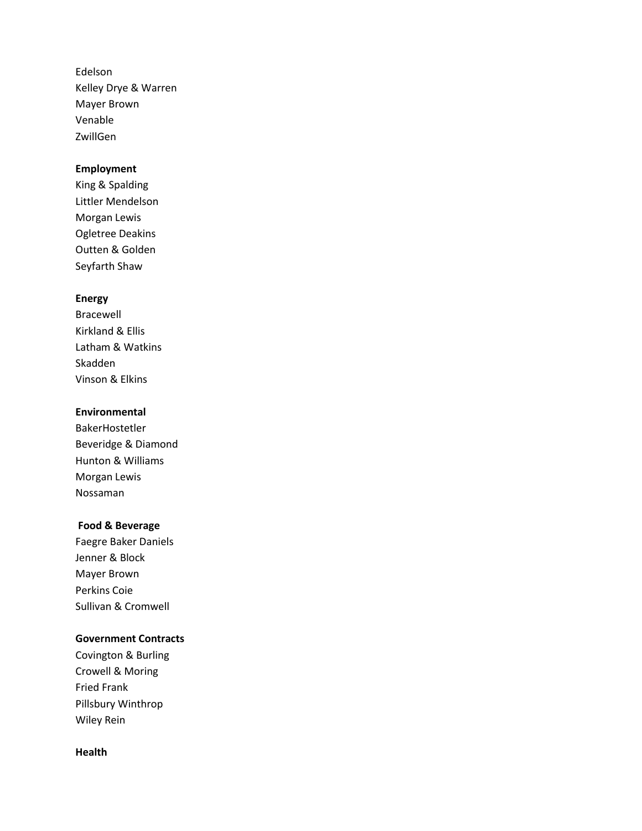Edelson Kelley Drye & Warren Mayer Brown Venable ZwillGen

#### **Employment**

King & Spalding Littler Mendelson Morgan Lewis Ogletree Deakins Outten & Golden Seyfarth Shaw

#### **Energy**

Bracewell Kirkland & Ellis Latham & Watkins Skadden Vinson & Elkins

## **Environmental**

BakerHostetler Beveridge & Diamond Hunton & Williams Morgan Lewis Nossaman

## **Food & Beverage**

Faegre Baker Daniels Jenner & Block Mayer Brown Perkins Coie Sullivan & Cromwell

#### **Government Contracts**

Covington & Burling Crowell & Moring Fried Frank Pillsbury Winthrop Wiley Rein

#### **Health**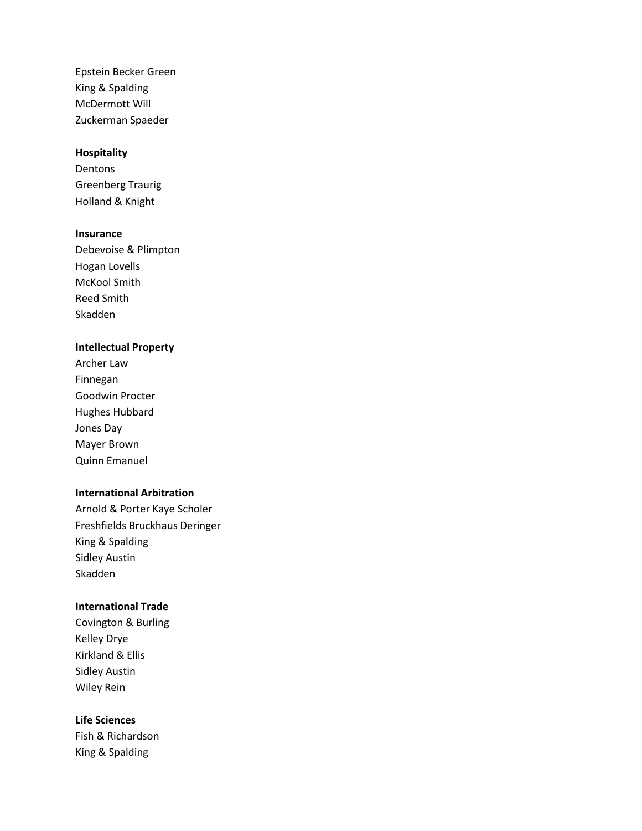Epstein Becker Green King & Spalding McDermott Will Zuckerman Spaeder

#### **Hospitality**

Dentons Greenberg Traurig Holland & Knight

#### **Insurance**

Debevoise & Plimpton Hogan Lovells McKool Smith Reed Smith Skadden

#### **Intellectual Property**

Archer Law Finnegan Goodwin Procter Hughes Hubbard Jones Day Mayer Brown Quinn Emanuel

#### **International Arbitration**

Arnold & Porter Kaye Scholer Freshfields Bruckhaus Deringer King & Spalding Sidley Austin Skadden

#### **International Trade**

Covington & Burling Kelley Drye Kirkland & Ellis Sidley Austin Wiley Rein

## **Life Sciences**

Fish & Richardson King & Spalding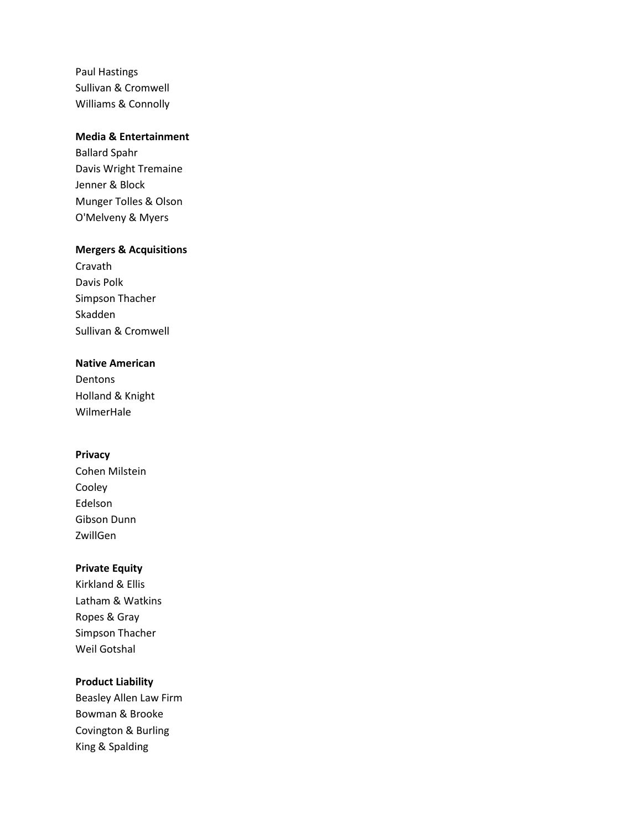Paul Hastings Sullivan & Cromwell Williams & Connolly

# **Media & Entertainment**

Ballard Spahr Davis Wright Tremaine Jenner & Block Munger Tolles & Olson O'Melveny & Myers

#### **Mergers & Acquisitions**

Cravath Davis Polk Simpson Thacher Skadden Sullivan & Cromwell

# **Native American**

Dentons Holland & Knight WilmerHale

#### **Privacy**

Cohen Milstein Cooley Edelson Gibson Dunn ZwillGen

# **Private Equity**

Kirkland & Ellis Latham & Watkins Ropes & Gray Simpson Thacher Weil Gotshal

## **Product Liability**

Beasley Allen Law Firm Bowman & Brooke Covington & Burling King & Spalding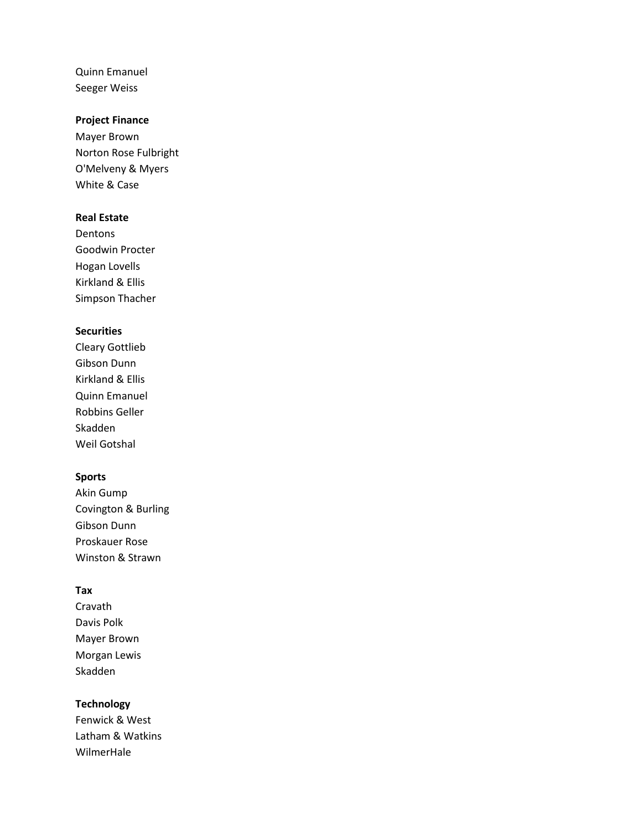Quinn Emanuel Seeger Weiss

## **Project Finance**

Mayer Brown Norton Rose Fulbright O'Melveny & Myers White & Case

#### **Real Estate**

Dentons Goodwin Procter Hogan Lovells Kirkland & Ellis Simpson Thacher

#### **Securities**

Cleary Gottlieb Gibson Dunn Kirkland & Ellis Quinn Emanuel Robbins Geller Skadden Weil Gotshal

#### **Sports**

Akin Gump Covington & Burling Gibson Dunn Proskauer Rose Winston & Strawn

## **Tax**

Cravath Davis Polk Mayer Brown Morgan Lewis Skadden

# **Technology**

Fenwick & West Latham & Watkins WilmerHale